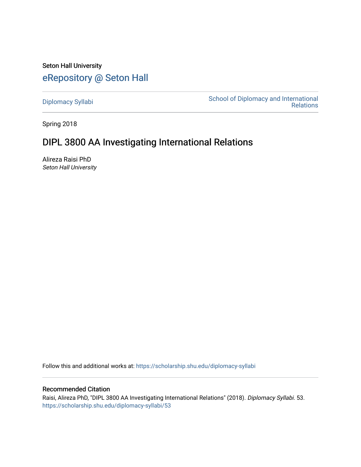Seton Hall University [eRepository @ Seton Hall](https://scholarship.shu.edu/)

[Diplomacy Syllabi](https://scholarship.shu.edu/diplomacy-syllabi) [School of Diplomacy and International](https://scholarship.shu.edu/diplomacy)  [Relations](https://scholarship.shu.edu/diplomacy) 

Spring 2018

# DIPL 3800 AA Investigating International Relations

Alireza Raisi PhD Seton Hall University

Follow this and additional works at: [https://scholarship.shu.edu/diplomacy-syllabi](https://scholarship.shu.edu/diplomacy-syllabi?utm_source=scholarship.shu.edu%2Fdiplomacy-syllabi%2F53&utm_medium=PDF&utm_campaign=PDFCoverPages) 

## Recommended Citation

Raisi, Alireza PhD, "DIPL 3800 AA Investigating International Relations" (2018). Diplomacy Syllabi. 53. [https://scholarship.shu.edu/diplomacy-syllabi/53](https://scholarship.shu.edu/diplomacy-syllabi/53?utm_source=scholarship.shu.edu%2Fdiplomacy-syllabi%2F53&utm_medium=PDF&utm_campaign=PDFCoverPages)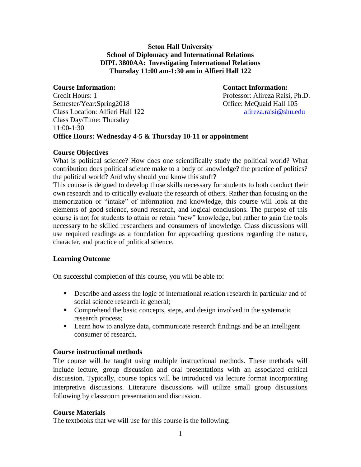## **Seton Hall University School of Diplomacy and International Relations DIPL 3800AA: Investigating International Relations Thursday 11:00 am-1:30 am in Alfieri Hall 122**

**Course Information: Contact Information:** Credit Hours: 1 Professor: Alireza Raisi, Ph.D. Semester/Year:Spring2018 Office: McQuaid Hall 105 Class Location: Alfieri Hall 122 [alireza.raisi@shu.edu](mailto:alireza.raisi@shu.edu) Class Day/Time: Thursday 11:00-1:30 **Office Hours: Wednesday 4-5 & Thursday 10-11 or appointment**

## **Course Objectives**

What is political science? How does one scientifically study the political world? What contribution does political science make to a body of knowledge? the practice of politics? the political world? And why should you know this stuff?

This course is deigned to develop those skills necessary for students to both conduct their own research and to critically evaluate the research of others. Rather than focusing on the memorization or "intake" of information and knowledge, this course will look at the elements of good science, sound research, and logical conclusions. The purpose of this course is not for students to attain or retain "new" knowledge, but rather to gain the tools necessary to be skilled researchers and consumers of knowledge. Class discussions will use required readings as a foundation for approaching questions regarding the nature, character, and practice of political science.

## **Learning Outcome**

On successful completion of this course, you will be able to:

- **•** Describe and assess the logic of international relation research in particular and of social science research in general;
- Comprehend the basic concepts, steps, and design involved in the systematic research process;
- **•** Learn how to analyze data, communicate research findings and be an intelligent consumer of research.

## **Course instructional methods**

The course will be taught using multiple instructional methods. These methods will include lecture, group discussion and oral presentations with an associated critical discussion. Typically, course topics will be introduced via lecture format incorporating interpretive discussions. Literature discussions will utilize small group discussions following by classroom presentation and discussion.

## **Course Materials**

The textbooks that we will use for this course is the following: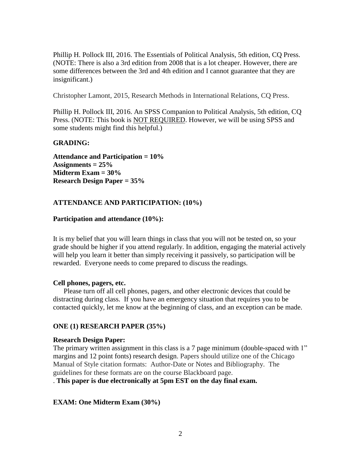Phillip H. Pollock III, 2016. The Essentials of Political Analysis, 5th edition, CQ Press. (NOTE: There is also a 3rd edition from 2008 that is a lot cheaper. However, there are some differences between the 3rd and 4th edition and I cannot guarantee that they are insignificant.)

Christopher Lamont, 2015, Research Methods in International Relations, CQ Press.

Phillip H. Pollock III, 2016. An SPSS Companion to Political Analysis, 5th edition, CQ Press. (NOTE: This book is NOT REQUIRED. However, we will be using SPSS and some students might find this helpful.)

### **GRADING:**

**Attendance and Participation = 10% Assignments = 25% Midterm Exam = 30% Research Design Paper = 35%**

## **ATTENDANCE AND PARTICIPATION: (10%)**

#### **Participation and attendance (10%):**

It is my belief that you will learn things in class that you will not be tested on, so your grade should be higher if you attend regularly. In addition, engaging the material actively will help you learn it better than simply receiving it passively, so participation will be rewarded. Everyone needs to come prepared to discuss the readings.

#### **Cell phones, pagers, etc.**

Please turn off all cell phones, pagers, and other electronic devices that could be distracting during class. If you have an emergency situation that requires you to be contacted quickly, let me know at the beginning of class, and an exception can be made.

#### **ONE (1) RESEARCH PAPER (35%)**

#### **Research Design Paper:**

The primary written assignment in this class is a 7 page minimum (double-spaced with 1" margins and 12 point fonts) research design. Papers should utilize one of the Chicago Manual of Style citation formats: Author-Date or Notes and Bibliography. The guidelines for these formats are on the course Blackboard page.

. **This paper is due electronically at 5pm EST on the day final exam.**

#### **EXAM: One Midterm Exam (30%)**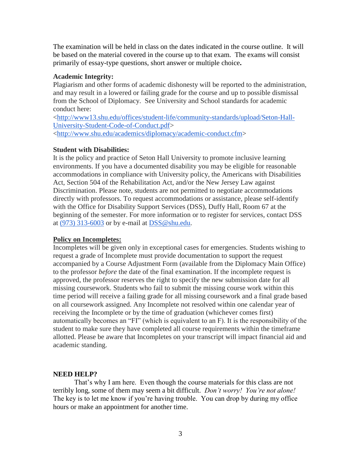The examination will be held in class on the dates indicated in the course outline. It will be based on the material covered in the course up to that exam. The exams will consist primarily of essay-type questions, short answer or multiple choice**.** 

#### **Academic Integrity:**

Plagiarism and other forms of academic dishonesty will be reported to the administration, and may result in a lowered or failing grade for the course and up to possible dismissal from the School of Diplomacy. See University and School standards for academic conduct here:

[<http://www13.shu.edu/offices/student-life/community-standards/upload/Seton-Hall-](https://na01.safelinks.protection.outlook.com/?url=http%3a%2f%2fwww13.shu.edu%2foffices%2fstudent-life%2fcommunity-standards%2fupload%2fSeton-Hall-University-Student-Code-of-Conduct.pdf&data=01%7c01%7chugh.dugan%40shu.edu%7c8cdb630fb3b84931545508d3bfb2d687%7c51f07c2253b744dfb97ca13261d71075%7c1&sdata=sabYtC9%2b86aNrniMNmig62VcA%2fjrBao2yeGCqPFl3x8%3d)[University-Student-Code-of-Conduct.pdf>](https://na01.safelinks.protection.outlook.com/?url=http%3a%2f%2fwww13.shu.edu%2foffices%2fstudent-life%2fcommunity-standards%2fupload%2fSeton-Hall-University-Student-Code-of-Conduct.pdf&data=01%7c01%7chugh.dugan%40shu.edu%7c8cdb630fb3b84931545508d3bfb2d687%7c51f07c2253b744dfb97ca13261d71075%7c1&sdata=sabYtC9%2b86aNrniMNmig62VcA%2fjrBao2yeGCqPFl3x8%3d) [<http://www.shu.edu/academics/diplomacy/academic-conduct.cfm>](http://www.shu.edu/academics/diplomacy/academic-conduct.cfm)

#### **Student with Disabilities:**

It is the policy and practice of Seton Hall University to promote inclusive learning environments. If you have a documented disability you may be eligible for reasonable accommodations in compliance with University policy, the Americans with Disabilities Act, Section 504 of the Rehabilitation Act, and/or the New Jersey Law against Discrimination. Please note, students are not permitted to negotiate accommodations directly with professors. To request accommodations or assistance, please self-identify with the Office for Disability Support Services (DSS), Duffy Hall, Room 67 at the beginning of the semester. For more information or to register for services, contact DSS at [\(973\) 313-6003](tel:(973)%20313-6003) or by e-mail at [DSS@shu.edu.](mailto:DSS@shu.edu)

#### **Policy on Incompletes:**

Incompletes will be given only in exceptional cases for emergencies. Students wishing to request a grade of Incomplete must provide documentation to support the request accompanied by a Course Adjustment Form (available from the Diplomacy Main Office) to the professor *before* the date of the final examination. If the incomplete request is approved, the professor reserves the right to specify the new submission date for all missing coursework. Students who fail to submit the missing course work within this time period will receive a failing grade for all missing coursework and a final grade based on all coursework assigned. Any Incomplete not resolved within one calendar year of receiving the Incomplete or by the time of graduation (whichever comes first) automatically becomes an "FI" (which is equivalent to an F). It is the responsibility of the student to make sure they have completed all course requirements within the timeframe allotted. Please be aware that Incompletes on your transcript will impact financial aid and academic standing.

#### **NEED HELP?**

That's why I am here. Even though the course materials for this class are not terribly long, some of them may seem a bit difficult. *Don't worry! You're not alone!* The key is to let me know if you're having trouble. You can drop by during my office hours or make an appointment for another time.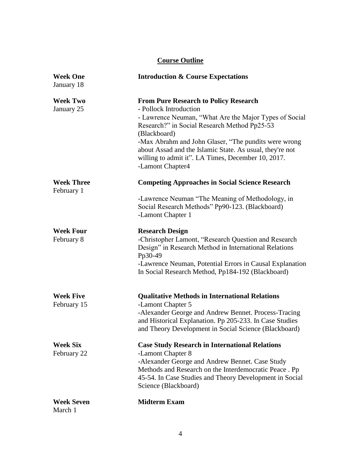## **Course Outline**

| <b>Week One</b><br>January 18   | <b>Introduction &amp; Course Expectations</b>                                                                                                                                                                                                                                                                                                                                                  |
|---------------------------------|------------------------------------------------------------------------------------------------------------------------------------------------------------------------------------------------------------------------------------------------------------------------------------------------------------------------------------------------------------------------------------------------|
| <b>Week Two</b><br>January 25   | <b>From Pure Research to Policy Research</b><br>- Pollock Introduction<br>- Lawrence Neuman, "What Are the Major Types of Social<br>Research?" in Social Research Method Pp25-53<br>(Blackboard)<br>-Max Abrahm and John Glaser, "The pundits were wrong<br>about Assad and the Islamic State. As usual, they're not<br>willing to admit it". LA Times, December 10, 2017.<br>-Lamont Chapter4 |
| <b>Week Three</b><br>February 1 | <b>Competing Approaches in Social Science Research</b>                                                                                                                                                                                                                                                                                                                                         |
|                                 | -Lawrence Neuman "The Meaning of Methodology, in<br>Social Research Methods" Pp90-123. (Blackboard)<br>-Lamont Chapter 1                                                                                                                                                                                                                                                                       |
| <b>Week Four</b><br>February 8  | <b>Research Design</b><br>-Christopher Lamont, "Research Question and Research<br>Design" in Research Method in International Relations<br>Pp30-49<br>-Lawrence Neuman, Potential Errors in Causal Explanation<br>In Social Research Method, Pp184-192 (Blackboard)                                                                                                                            |
| <b>Week Five</b><br>February 15 | <b>Qualitative Methods in International Relations</b><br>-Lamont Chapter 5<br>-Alexander George and Andrew Bennet. Process-Tracing<br>and Historical Explanation. Pp 205-233. In Case Studies<br>and Theory Development in Social Science (Blackboard)                                                                                                                                         |
| <b>Week Six</b><br>February 22  | <b>Case Study Research in International Relations</b><br>-Lamont Chapter 8<br>-Alexander George and Andrew Bennet. Case Study<br>Methods and Research on the Interdemocratic Peace. Pp<br>45-54. In Case Studies and Theory Development in Social<br>Science (Blackboard)                                                                                                                      |
| <b>Week Seven</b><br>March 1    | <b>Midterm Exam</b>                                                                                                                                                                                                                                                                                                                                                                            |